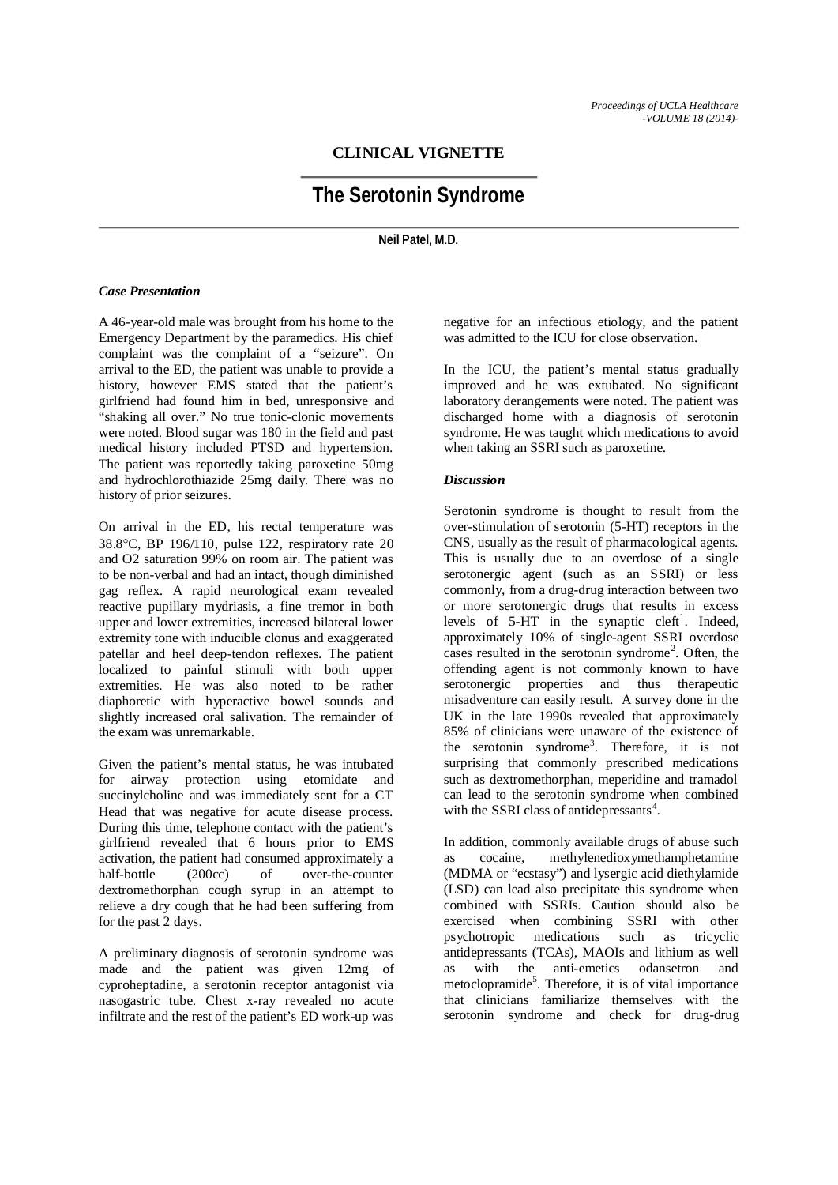## **CLINICAL VIGNETTE**

# **The Serotonin Syndrome**

**Neil Patel, M.D.**

### *Case Presentation*

A 46-year-old male was brought from his home to the Emergency Department by the paramedics. His chief complaint was the complaint of a "seizure". On arrival to the ED, the patient was unable to provide a history, however EMS stated that the patient's girlfriend had found him in bed, unresponsive and "shaking all over." No true tonic-clonic movements were noted. Blood sugar was 180 in the field and past medical history included PTSD and hypertension. The patient was reportedly taking paroxetine 50mg and hydrochlorothiazide 25mg daily. There was no history of prior seizures.

On arrival in the ED, his rectal temperature was 38.8°C, BP 196/110, pulse 122, respiratory rate 20 and O2 saturation 99% on room air. The patient was to be non-verbal and had an intact, though diminished gag reflex. A rapid neurological exam revealed reactive pupillary mydriasis, a fine tremor in both upper and lower extremities, increased bilateral lower extremity tone with inducible clonus and exaggerated patellar and heel deep-tendon reflexes. The patient localized to painful stimuli with both upper extremities. He was also noted to be rather diaphoretic with hyperactive bowel sounds and slightly increased oral salivation. The remainder of the exam was unremarkable.

Given the patient's mental status, he was intubated for airway protection using etomidate and succinylcholine and was immediately sent for a CT Head that was negative for acute disease process. During this time, telephone contact with the patient's girlfriend revealed that 6 hours prior to EMS activation, the patient had consumed approximately a half-bottle (200cc) of over-the-counter dextromethorphan cough syrup in an attempt to relieve a dry cough that he had been suffering from for the past 2 days.

A preliminary diagnosis of serotonin syndrome was made and the patient was given 12mg of cyproheptadine, a serotonin receptor antagonist via nasogastric tube. Chest x-ray revealed no acute infiltrate and the rest of the patient's ED work-up was

negative for an infectious etiology, and the patient was admitted to the ICU for close observation.

In the ICU, the patient's mental status gradually improved and he was extubated. No significant laboratory derangements were noted. The patient was discharged home with a diagnosis of serotonin syndrome. He was taught which medications to avoid when taking an SSRI such as paroxetine.

### *Discussion*

Serotonin syndrome is thought to result from the over-stimulation of serotonin (5-HT) receptors in the CNS, usually as the result of pharmacological agents. This is usually due to an overdose of a single serotonergic agent (such as an SSRI) or less commonly, from a drug-drug interaction between two or more serotonergic drugs that results in excess levels of  $5-HT$  in the synaptic cleft<sup>1</sup>. Indeed, approximately 10% of single-agent SSRI overdose cases resulted in the serotonin syndrome<sup>2</sup>. Often, the offending agent is not commonly known to have serotonergic properties and thus therapeutic misadventure can easily result. A survey done in the UK in the late 1990s revealed that approximately 85% of clinicians were unaware of the existence of the serotonin syndrome<sup>3</sup>. Therefore, it is not surprising that commonly prescribed medications such as dextromethorphan, meperidine and tramadol can lead to the serotonin syndrome when combined with the SSRI class of antidepressants<sup>4</sup>.

In addition, commonly available drugs of abuse such as cocaine, methylenedioxymethamphetamine (MDMA or "ecstasy") and lysergic acid diethylamide (LSD) can lead also precipitate this syndrome when combined with SSRIs. Caution should also be exercised when combining SSRI with other psychotropic medications such as tricyclic antidepressants (TCAs), MAOIs and lithium as well as with the anti-emetics odansetron and metoclopramide<sup>5</sup>. Therefore, it is of vital importance that clinicians familiarize themselves with the serotonin syndrome and check for drug-drug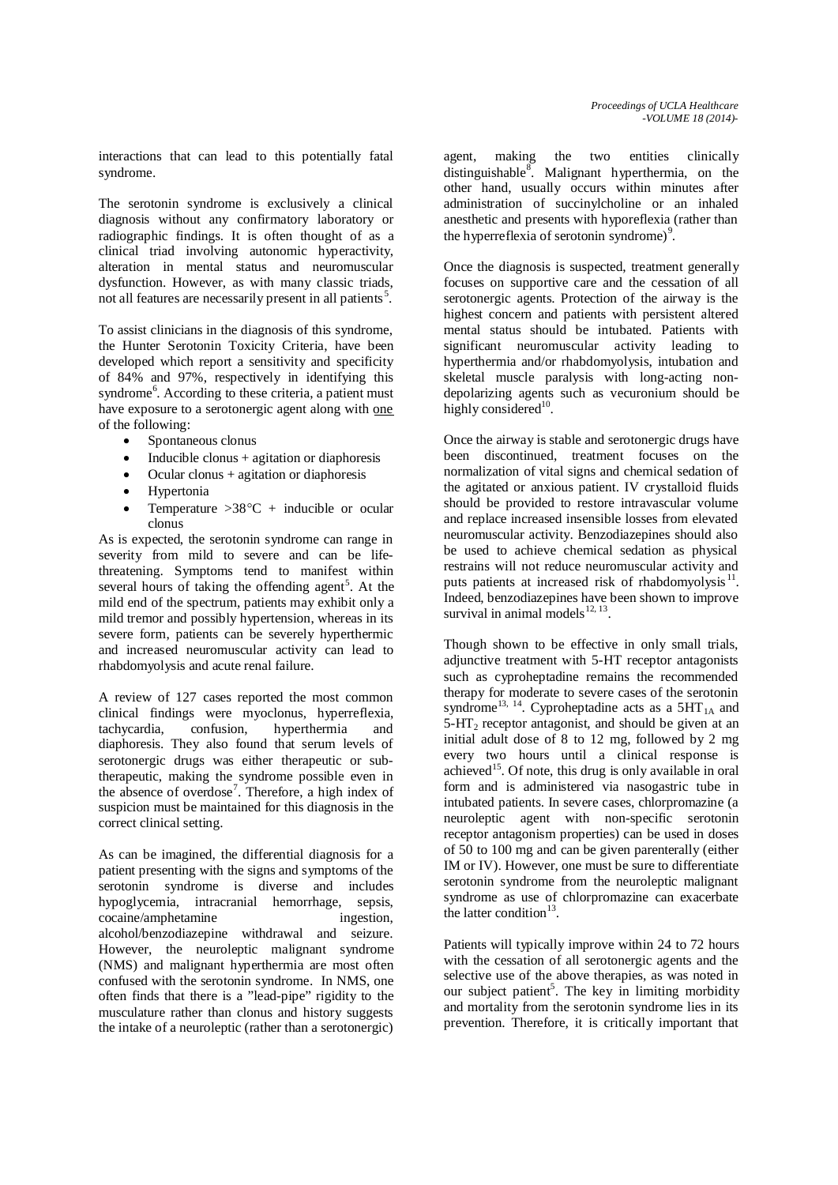interactions that can lead to this potentially fatal syndrome.

The serotonin syndrome is exclusively a clinical diagnosis without any confirmatory laboratory or radiographic findings. It is often thought of as a clinical triad involving autonomic hyperactivity, alteration in mental status and neuromuscular dysfunction. However, as with many classic triads, not all features are necessarily present in all patients<sup>5</sup>.

To assist clinicians in the diagnosis of this syndrome, the Hunter Serotonin Toxicity Criteria, have been developed which report a sensitivity and specificity of 84% and 97%, respectively in identifying this syndrome<sup>6</sup>. According to these criteria, a patient must have exposure to a serotonergic agent along with one of the following:

- · Spontaneous clonus
- Inducible clonus  $+$  agitation or diaphoresis
- Ocular clonus  $+$  agitation or diaphoresis
- **Hypertonia**
- Temperature  $>38^{\circ}$ C + inducible or ocular clonus

As is expected, the serotonin syndrome can range in severity from mild to severe and can be lifethreatening. Symptoms tend to manifest within several hours of taking the offending agent<sup>5</sup>. At the mild end of the spectrum, patients may exhibit only a mild tremor and possibly hypertension, whereas in its severe form, patients can be severely hyperthermic and increased neuromuscular activity can lead to rhabdomyolysis and acute renal failure.

A review of 127 cases reported the most common clinical findings were myoclonus, hyperreflexia, tachycardia, confusion, hyperthermia and diaphoresis. They also found that serum levels of serotonergic drugs was either therapeutic or subtherapeutic, making the syndrome possible even in the absence of overdose<sup>7</sup>. Therefore, a high index of suspicion must be maintained for this diagnosis in the correct clinical setting.

As can be imagined, the differential diagnosis for a patient presenting with the signs and symptoms of the serotonin syndrome is diverse and includes hypoglycemia, intracranial hemorrhage, sepsis, cocaine/amphetamine ingestion, alcohol/benzodiazepine withdrawal and seizure. However, the neuroleptic malignant syndrome (NMS) and malignant hyperthermia are most often confused with the serotonin syndrome. In NMS, one often finds that there is a "lead-pipe" rigidity to the musculature rather than clonus and history suggests the intake of a neuroleptic (rather than a serotonergic)

agent, making the two entities clinically distinguishable<sup>8</sup>. Malignant hyperthermia, on the other hand, usually occurs within minutes after administration of succinylcholine or an inhaled anesthetic and presents with hyporeflexia (rather than the hyperreflexia of serotonin syndrome)<sup>9</sup>.

Once the diagnosis is suspected, treatment generally focuses on supportive care and the cessation of all serotonergic agents. Protection of the airway is the highest concern and patients with persistent altered mental status should be intubated. Patients with significant neuromuscular activity leading to hyperthermia and/or rhabdomyolysis, intubation and skeletal muscle paralysis with long-acting nondepolarizing agents such as vecuronium should be highly considered<sup>10</sup>.

Once the airway is stable and serotonergic drugs have been discontinued, treatment focuses on the normalization of vital signs and chemical sedation of the agitated or anxious patient. IV crystalloid fluids should be provided to restore intravascular volume and replace increased insensible losses from elevated neuromuscular activity. Benzodiazepines should also be used to achieve chemical sedation as physical restrains will not reduce neuromuscular activity and puts patients at increased risk of rhabdomyolysis $^{11}$ . Indeed, benzodiazepines have been shown to improve survival in animal models $^{12, 13}$ .

Though shown to be effective in only small trials, adjunctive treatment with 5-HT receptor antagonists such as cyproheptadine remains the recommended therapy for moderate to severe cases of the serotonin syndrome<sup>13, 14</sup>. Cyproheptadine acts as a  $5HT_{1A}$  and  $5-\text{HT}_2$  receptor antagonist, and should be given at an initial adult dose of 8 to 12 mg, followed by 2 mg every two hours until a clinical response is achieved<sup>15</sup>. Of note, this drug is only available in oral form and is administered via nasogastric tube in intubated patients. In severe cases, chlorpromazine (a neuroleptic agent with non-specific serotonin receptor antagonism properties) can be used in doses of 50 to 100 mg and can be given parenterally (either IM or IV). However, one must be sure to differentiate serotonin syndrome from the neuroleptic malignant syndrome as use of chlorpromazine can exacerbate the latter condition<sup>13</sup>.

Patients will typically improve within 24 to 72 hours with the cessation of all serotonergic agents and the selective use of the above therapies, as was noted in our subject patient<sup>5</sup>. The key in limiting morbidity and mortality from the serotonin syndrome lies in its prevention. Therefore, it is critically important that